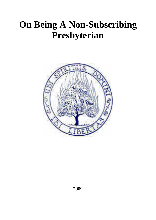# **On Being A Non-Subscribing Presbyterian**

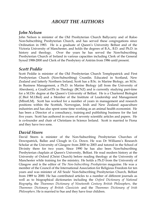# *ABOUT THE AUTHORS*

#### *John Nelson*

John Nelson is minister of the Old Presbyterian Church Ballycarry and of Raloo Non-Subscribing Presbyterian Church, and has served these congregations since Ordination in 1983. He is a graduate of Queen's University Belfast and of the Victoria University of Manchester, and holds the degrees of B.A., B.D. and Ph.D. in history and theology. Over the years he has served the Non-Subscribing Presbyterian Church of Ireland in various capacities including Clerk of the General Synod 1988-2000 and Clerk of the Presbytery of Antrim from 1986 until present.

#### *Scott Peddie*

Scott Peddie is minister of the Old Presbyterian Church Templepatrick and First Presbyterian Church (Non-Subscribing) Crumlin. Educated in Scotland, New Zealand and latterly Northern Ireland, Scott has a B.Sc. in Marine Biology, an M.Sc. in Business Management, a Ph.D. in Marine Biology (all from the University of Aberdeen), a GradCertTh in Theology (BCNZ) and is currently studying part-time for a M.Div degree at the Queen's University of Belfast. He is a Chartered Biologist (C.Biol M.I.Biol) and a Member of the Institute of Leadership and Management (MInstLM). Scott has worked for a number of years in management and research positions within the Scottish, Norwegian, Irish and New Zealand aquaculture industries and has also spent some time working as an animal health economist. He has been a Director of a consultancy, training and publishing business for the last five years. Scott has authored in excess of seventy scientific articles and papers. He is co-founder and chair of Christians in Science Ireland. Scott is married to Fiona and they have two sons.

#### *David Steers*

David Steers is minister of the Non-Subscribing Presbyterian Churches of Downpatrick, Ballee and Clough in Co. Down. He was Dr Williams's Research Scholar at the University of Glasgow from 2000 to 2003 and tutored in the School of Divinity there for two years. Since 1990 he has also been Non-Subscribing Presbyterian chaplain at Queen's University, Belfast. He read modern history at the University of Oxford (Christ Church) before reading theology at the University of Manchester while training for the ministry. He holds a Ph.D from the University of Glasgow and is the editor of *The Non-Subscribing Presbyterian* magazine. He was a member of the Council of the International Association for Religious Freedom for ten years and was minister of All Souls' Non-Subscribing Presbyterian Church, Belfast from 1989 to 2000. He has contributed articles to a number of different journals as well as to biographical dictionaries including the *Oxford Dictionary of National Biography*, the *Thoemmes Dictionary of Nineteenth Century British Philosophers,* the *Thoemmes Dictionary of British Classicists* and the *Thoemmes Dictionary of Irish Philosophers*. He is married to Sue and they have four children.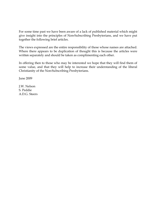For some time past we have been aware of a lack of published material which might give insight into the principles of Non-Subscribing Presbyterians, and we have put together the following brief articles.

The views expressed are the entire responsibility of those whose names are attached. Where there appears to be duplication of thought this is because the articles were written separately and should be taken as complimenting each other.

In offering then to those who may be interested we hope that they will find them of some value, and that they will help to increase their understanding of the liberal Christianity of the Non-Subscribing Presbyterians.

June 2009

J.W. Nelson S. Peddie A.D.G. Steers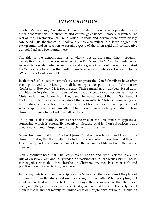# *INTRODUCTION*

The Non-Subscribing Presbyterian Church of Ireland has no exact equivalent in any other denomination. In structure and church governance it closely resembles the rest of Irish Presbyterianism, with which its roots and development were closely connected. Its theological outlook and ethos also reflect in a large degree that background, and its reaction to certain aspects of the often rigid and conservative outlook that have been found there.

The title of the denomination is unwieldy, yet at the same time thoroughly descriptive. During the controversies of the 1720's and the 1820's the fundamental issue which decided whether ministers and congregations would be with or against the 'Non-Subscribers' was their willingness to accept compulsory subscription to the 'Westminster Confession of Faith'.

In their refusal to accept compulsory subscription the Non-Subscribers have often been portrayed as rejecting or disbelieving some parts of the Westminster Confession. However, this is not the case. Their refusal has always been based upon an objection in principle to the use of man-made creeds or confessions as a test of Christian faith and fellowship. They have always contended that the Scriptures of the Old and New Testaments contain all that is essential to Christian knowledge and faith. Man-made creeds and confessions cannot become a definitive explanation of what Scripture teaches and any attempt to impose them as such, upon individuals or churches will inevitably lead to needless division.

The point is also made by others that the title of the denomination appears as something which is essentially negative. Because of this, Non-Subscribers have always considered it important to stress that which is positive.

Non-subscribers hold that 'The Lord Jesus Christ is the sole King and Head of the church'. That is, that their faith looks to Him and is centred upon Him, that through His ministry and revelation they may learn the meaning of life and seek the way to heaven.

Non-Subscribers hold that 'The Scriptures of the Old and New Testaments are the rule of Christian Faith and Duty under the teaching of our Lord Jesus Christ. That is, that together with the other churches of Christendom, they base their faith and practice upon inspired truth given there.

In placing their trust upon the Scriptures the Non-Subscribers also assert the place of human reason in the study and understanding of their faith. While accepting that mankind are frail and imperfect in many ways, they acknowledge that they have been given the gift of reason; and since God gave mankind this gift He clearly meant them to use it, and not merely for limited areas of thought only, but for all, including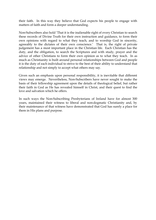their faith. In this way they believe that God expects his people to engage with matters of faith and form a deeper understanding.

Non-Subscribers also hold 'That it is the inalienable right of every Christian to search these records of Divine Truth for their own instruction and guidance, to form their own opinions with regard to what they teach, and to worship God in sincerity, agreeably to the dictates of their own conscience.' That is, the right of private judgement has a most important place in the Christian life. Each Christian has the duty, and the obligation, to search the Scriptures and with study, prayer and the advice of other Christians to form their own opinion as to what they teach. In as much as Christianity is built around personal relationships between God and people it is the duty of each individual to strive to the best of their ability to understand that relationship and not simply to accept what others may say.

Given such an emphasis upon personal responsibility, it is inevitable that different views may emerge. Nevertheless, Non-Subscribers have never sought to make the basis of their fellowship agreement upon the details of theological belief, but rather their faith in God as He has revealed himself in Christ, and their quest to find the love and salvation which he offers.

In such ways the Non-Subscribing Presbyterians of Ireland have for almost 300 years, maintained their witness to liberal and non-dogmatic Christianity and, by their maintenance of that witness have demonstrated that God has surely a place for them in His plans and purpose.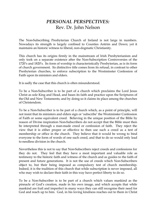## *PERSONAL PERSPECTIVES:* Rev. Dr. John Nelson

The Non-Subscribing Presbyterian Church of Ireland is not large in numbers. Nowadays its strength is largely confined to Counties Antrim and Down; yet it maintains an historic witness to liberal, non-dogmatic Christianity.

This church has its origins firmly in the mainstream of Irish Presbyterianism and only took on a separate existence after the Non-Subscription Controversies of the 1720's and 1820's. Its form of worship is characteristically Presbyterian, as is its form of church government. Its distinctive title comes from its refusal, in contrast to other Presbyterian churches, to enforce subscription to the Westminster Confession of Faith upon its ministers and elders.

It is sadly the case that this church is often misunderstood.

To be a Non-Subscriber is to be part of a church which proclaims the Lord Jesus Christ as sole King and Head, and bases its faith and practice upon the Scriptures of the Old and New Testaments; and by doing so it claims its place among the churches of Christendom.

To be a Non-Subscriber is to be part of a church which, as a point of principle, will not insist that its ministers and elders sign or 'subscribe' the Westminster Confession of Faith or some equivalent creed. Believing in the unique position of the Bible by reason of Divine inspiration Non-Subscribers do not accept that the Bible must then be interpreted through a man-made creed or confession of faith. They reject the view that it is either proper or effective to then use such a creed as a test of membership or office in the church. They believe that it would be wrong to bind everyone to the form of words of one such creed, and that to do so would only lead to needless division in the church.

Nevertheless this is not to say that Non-Subscribers reject creeds and confessions for they do not. They feel that they have a most important and valuable role as testimony to the historic faith and witness of the church and as guides to the faith of present and future generations. It is not the use of creeds which Non-Subscribers object to, but their being imposed as compulsory test of church membership. Indeed, it is the tradition of this church that while subscription is never imposed, all who may wish to declare their faith in this way have perfect liberty to do so.

To be a Non-Subscriber is to be part of a church which values mankind as the pinnacle of God's creation, made in his own image, and which accepts that while mankind are frail and imperfect in many ways they can still recognise their need for God and reach up to him. God, in his loving kindness reaches out to them in Christ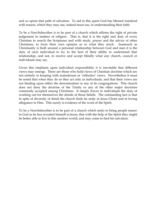and so opens that path of salvation. To aid in this quest God has blessed mankind with reason, which they may use, indeed must use, in understanding their faith.

To be a Non-Subscriber is to be part of a church which affirms the right of private judgement in matters of religion. That is, that it is the right and duty of every Christian to search the Scriptures and with study, prayer and the advice of other Christians, to form their own opinion as to what they teach. Inasmuch as Christianity is built around a personal relationship between God and man it is the duty of each individual to try to the best of their ability to understand that relationship, and not, to receive and accept blindly what any church, council or individuals may say.

Given this emphasis upon individual responsibility it is inevitable that different views may emerge. There are those who hold views of Christian doctrine which are not entirely in keeping with mainstream or 'orthodox' views. Nevertheless it must be noted that when they do so they act only as individuals, and that their views are not binding upon either the denomination or any of its congregations. This church does not deny the doctrine of the Trinity or any of the other major doctrines commonly accepted among Christians. It simply leaves to individuals the duty of working out for themselves the details of those beliefs. The outstanding fact is that in spite of diversity of detail the church finds its unity in Jesus Christ and in loving allegiance to Him. This surely is evidence of the work of the Spirit.

To be a Non-Subscriber is to be part of a church which seeks to bring people nearer to God as he has revealed himself in Jesus, that with the help of the Spirit they might be better able to live in this modern world, and may come to find his salvation.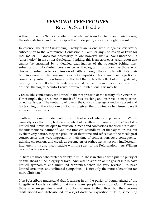## *PERSONAL PERSPECTIVES:* Rev. Dr. Scott Peddie

Although the title 'Non-Subscribing Presbyterian' is undoubtedly an unwieldy one, the rationale for it, and the principles that underpin it, are very straightforward.

In essence, the 'Non-Subscribing' Presbyterian is one who is against *compulsory* subscription to the Westminster Confession of Faith, or any Confession of Faith for that matter. It does not necessarily follow however that a 'Non-Subscriber' is 'unorthodox' in his or her theological thinking; this is an erroneous assumption that cannot be sustained by a detailed examination of the rationale behind nonsubscription. Non-Subscribers can be as theologically 'orthodox' as those who choose to subscribe to a confession of faith, although they simply articulate their faith in a non-formulaic manner devoid of compulsion. For many, their objection to compulsory subscription hinges on the fact that it has the effect of stifling debate, creating false intellectual boundaries, and it can and sometimes does create an artificial theological 'comfort zone', however unintentional this may be.

Creeds, like confessions, are limited in their expression of the totality of Divine truth. For example, they are silent on much of Jesus' teaching and his revolutionary stance on ethical issues. The centrality of love in the Christ's message is entirely absent and his teaching on the Kingdom of God is not given the prominence he himself gave it in his earthly ministry.

Truth is of course fundamental to all Christians of whatever persuasion. We all earnestly seek the truth; truth is absolute, but as fallible humans our *perception* of it is limited and it must be open to revision. Creeds and confessions are attempts to distil the unfathomable nature of God into timeless 'soundbites' of theological truths, but by their very nature, they are products of their time and reflective of the theological controversies that were important at their time of composition. As a consequence, utilising confessions and creeds as barometers of orthodoxy is not only intellectually incoherent, it is also incompatible with the spirit of the Reformation. As William Sloane Coffin once said:

"There are those who prefer certainty to truth, those in church who put the purity of dogma ahead of the integrity of love. And what distortion of the gospel it is to have limited sympathies and unlimited certainties, when the very reverse – to have limited certainties and unlimited sympathies - is not only the more tolerant but far more Christian."

Non-Subscribers understand that focussing in on the purity of dogma ahead of the integrity of love is something that turns many people away from God. There are those who are genuinely seeking to follow Jesus in their lives, but they become disillusioned and disheartened by a rigid doctrinal exposition of faith, something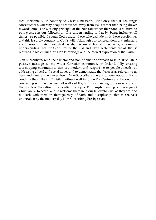that, incidentally, is contrary to Christ's message. Not only that, it has tragic consequences, whereby people are turned away from Jesus rather than being drawn towards him. The working principle of the Non-Subscriber therefore, is to strive to be inclusive in our fellowship. Our understanding is that by being inclusive, all things are possible through God's grace; those who exclude limit those possibilities and this is surely contrary to God's will. Although our congregations and ministers are diverse in their theological beliefs, we are all bound together by a common understanding that the Scriptures of the Old and New Testaments are all that is required to foster true Christian knowledge and the correct expression of that faith.

Non-Subscribers, with their liberal and non-dogmatic approach to faith articulate a positive message to the wider Christian community in Ireland. By creating worshipping communities that are modern and responsive to people's needs, by addressing ethical and social issues and to demonstrate that Jesus is as relevant to us here and now as he's ever been, Non-Subscribers have a unique opportunity to continue their vibrant Christian witness well in to the 21st Century and beyond. By connecting with people from all walks of life, and by appealing to those who are in the words of the retired Episcopalian Bishop of Edinburgh 'dancing on the edge' of Christianity, to accept and to welcome them in to our fellowship just as they are, and to work with them in their journey of faith and discipleship, that is the task undertaken by the modern day Non-Subscribing Presbyterian.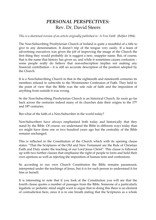## *PERSONAL PERSPECTIVES:* Rev. Dr. David Steers

*This is a shortened version of an article originally published in 'A Free Faith' (Belfast 1994).*

The Non-Subscribing Presbyterian Church of Ireland is quite a mouthful of a title to give to any denomination. It doesn't trip of the tongue very easily. If a team of advertising executives was given the job of improving the image of the Church the first thing they would probably do is suggest a new, snappier name. But, of course, that is the name that history has given us, and while it sometimes causes confusion – some people really do believe that non-subscription implies not making any financial contribution – it is still an accurate description of the position adopted by the Church.

It is a Non-Subscribing Church in that in the eighteenth and nineteenth centuries its members refused to subscribe to the Westminster Confession of Faith. They held to the point of view that the Bible was the sole rule of faith and the imposition of anything from outside it was wrong.

So the Non-Subscribing Presbyterian Church is an historical Church. Its roots go far back across the centuries indeed many of its churches date their origins to the 17th and 18th centuries.

But what of the faith of a Non-Subscriber in the world today?

Non-Subscribers have always emphasised both today and historically that they stand by the Bible. Of course, we understand the Bible in different ways today than we might have done one or two hundred years ago but the centrality of the Bible remains unchanged.

This is reflected in the Constitution of the Church which with its opening clause states: "That the Scriptures of the Old and New Testament are the Rule of Christian Faith and Duty under the teaching of our Lord Jesus Christ". This clause is followed up with two further clauses that emphasise the right of people to form and hold their own opinions as well as rejecting the imposition of human tests and confessions.

So according to our own Church Constitution the Bible remains paramount, interpreted under the teachings of Jesus, but it is for each person to understand it for him or herself.

It is interesting to note that if you look at the Constitution you will see that the fourth clause quotes a number of passages from the Bible. Someone of a particularly legalistic or pedantic mind might want to argue that in doing this there is an element of contradiction here, since it is in one breath stating that the Scriptures as a whole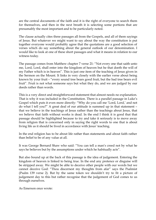are the central documents of the faith and it is the right of everyone to search them for themselves, and then in the next breath it is selecting some portions that are presumably the most important and to be particularly noted.

The clause actually cites three passages all from the Gospels, and all of them sayings of Jesus. But whatever we might want to say about the way the constitution is put together everyone would probably agree that the quotations are a good selection of verses which do say something about the general outlook of our denomination. I would like to look at one of these short passages and what it means in relation to our witness today.

The passage comes from Matthew chapter 7 verse 21: "Not every one that saith unto me, Lord, Lord, shall enter into the kingdom of heaven but he that doeth the will of my Father which is in heaven". This is just one item of the teaching of Jesus given in the Sermon on the Mount. It links in very closely with the earlier verse about being known by your fruit – "every sound tree bears good fruit, but the bad tree bears evil fruit". Fruit is not what someone says but what they do, and we are judged by our deeds rather than words.

This is a very direct and straightforward statement that almost needs no explanation. That is why it was included in the Constitution. There is a parallel passage in Luke's Gospel which puts it even more directly: "Why do you call me 'Lord, Lord,' and not do what I tell you?" A great deal of our attitude is summed up in that statement – that we believe in the teachings of Jesus rather than the teachings about Jesus, that we believe that faith without works is dead. In the end I think it is good that that passage should be highlighted because to try and take it seriously is to move away from religion that is concerned only in saying the right words to one that is about living life as it should be lived in accordance with Jesus' teaching.

In the end religion has to be about life rather than statements and about faith rather than belief to be of any value at all.

It was George Bernard Shaw who said: "You can tell a man's creed not by what he says he believes but by the assumptions under which he habitually acts".

But also bound up at the back of this passage is the idea of judgement. Entering the kingdom of heaven is linked to being true. In the end any pretence or disguise will be stripped away. We might be able to deceive other people with our words but we cannot deceive God: "Thou discernest my thoughts from afar" says the Psalmist (Psalm 139 verse 2). But by the same token we shouldn't try to fit a picture of judgement day to this but rather recognise that the judgement of God comes to us through ourselves.

As Emerson once wrote: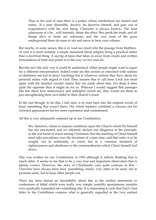Thus in the soul of man there is a justice whose retributions are instant and entire…If a man dissemble, deceive, he deceives himself, and goes out of acquaintance with his own being. Character is always known…The least admixture of a lie…will instantly vitiate the effect. But speak the truth, and all things alive or brute are witnesses, and the very roots of the grass underground there do seem to stir and move to bear your witness.

But maybe, in some senses, this is to read too much into the passage from Matthew. At root it is most certainly a simple statement about religion being a practical rather than a doctrinal thing. A saying of Jesus that takes us away from creeds and written formulations of faith and points is to the way we live and are.

But this isn't the only way it could be understood. Other people might want to argue for a different interpretation. Indeed some see this section as entwined with notions of obedience not just to Jesus' teachings but to whatever notions they have about his personal status with regard to God. They assume that to call Jesus Lord you must agree with the detailed creedal claims that are made about him. For them it does quite the opposite than it might do for us. Whereas I would suggest that passages like this show how unnecessary and unhelpful creeds are, they would see them as just strengthening their own belief in their church's creed.

In the end though, to do this, I feel sure, is to read back into the original words of Jesus something that wasn't there. His whole ministry exhibited a concern not for outward appearances but for inner experience and commitment.

All this is very adequately summed up in our Constitution:

We, therefore, refuse to impose conditions upon the Church which He himself has not sanctioned, and we solemnly declare our allegiance to the principle, as the real bond of union among Christians, that the teaching of Christ himself must take precedence over the doctrines of a later time, and that unity is to be sought, not in uniformity or creed, but in a common standard of righteousness and obedience to the commandments which Christ himself laid down.

This was written for our Constitution in 1910 although it reflects thinking that is much older. It seems to me that to be a very true and important observation that is plainly correct. However, the story of Christianity runs quite contrary to this – Churches have always been busy assembling creeds, very often to be used, not to promote unity, but to keep other people out.

There has been almost an inevitability about this as the earliest statements or confessions of belief which were really very simple, possibly spontaneous remarks were gradually expanded into something else. It is interesting to note that Paul's first letter to the Corinthians contains what is generally regarded as the very earliest